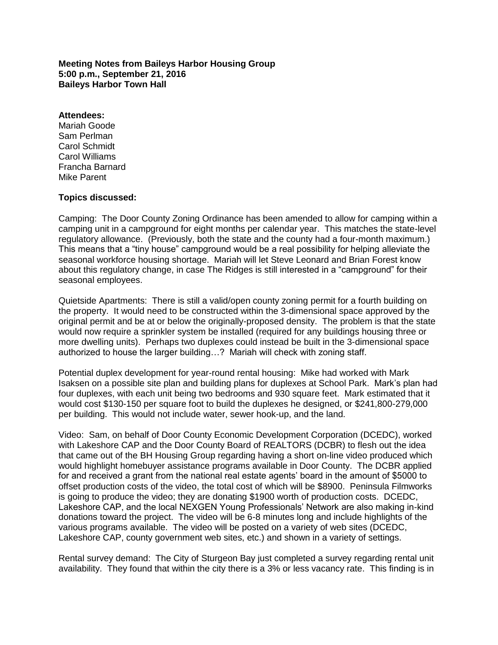**Meeting Notes from Baileys Harbor Housing Group 5:00 p.m., September 21, 2016 Baileys Harbor Town Hall**

## **Attendees:**

Mariah Goode Sam Perlman Carol Schmidt Carol Williams Francha Barnard Mike Parent

## **Topics discussed:**

Camping: The Door County Zoning Ordinance has been amended to allow for camping within a camping unit in a campground for eight months per calendar year. This matches the state-level regulatory allowance. (Previously, both the state and the county had a four-month maximum.) This means that a "tiny house" campground would be a real possibility for helping alleviate the seasonal workforce housing shortage. Mariah will let Steve Leonard and Brian Forest know about this regulatory change, in case The Ridges is still interested in a "campground" for their seasonal employees.

Quietside Apartments: There is still a valid/open county zoning permit for a fourth building on the property. It would need to be constructed within the 3-dimensional space approved by the original permit and be at or below the originally-proposed density. The problem is that the state would now require a sprinkler system be installed (required for any buildings housing three or more dwelling units). Perhaps two duplexes could instead be built in the 3-dimensional space authorized to house the larger building…? Mariah will check with zoning staff.

Potential duplex development for year-round rental housing: Mike had worked with Mark Isaksen on a possible site plan and building plans for duplexes at School Park. Mark's plan had four duplexes, with each unit being two bedrooms and 930 square feet. Mark estimated that it would cost \$130-150 per square foot to build the duplexes he designed, or \$241,800-279,000 per building. This would not include water, sewer hook-up, and the land.

Video: Sam, on behalf of Door County Economic Development Corporation (DCEDC), worked with Lakeshore CAP and the Door County Board of REALTORS (DCBR) to flesh out the idea that came out of the BH Housing Group regarding having a short on-line video produced which would highlight homebuyer assistance programs available in Door County. The DCBR applied for and received a grant from the national real estate agents' board in the amount of \$5000 to offset production costs of the video, the total cost of which will be \$8900. Peninsula Filmworks is going to produce the video; they are donating \$1900 worth of production costs. DCEDC, Lakeshore CAP, and the local NEXGEN Young Professionals' Network are also making in-kind donations toward the project. The video will be 6-8 minutes long and include highlights of the various programs available. The video will be posted on a variety of web sites (DCEDC, Lakeshore CAP, county government web sites, etc.) and shown in a variety of settings.

Rental survey demand: The City of Sturgeon Bay just completed a survey regarding rental unit availability. They found that within the city there is a 3% or less vacancy rate. This finding is in